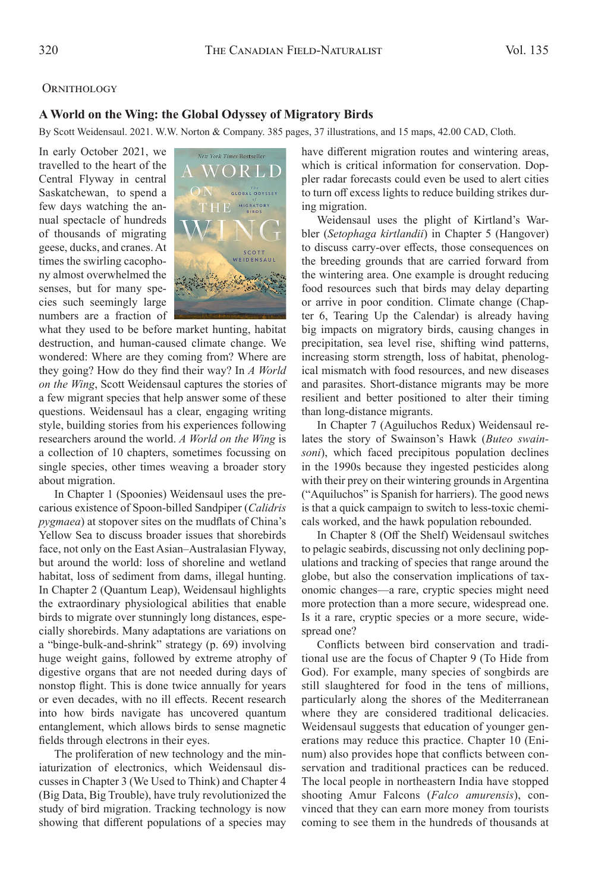## **ORNITHOLOGY**

## **A World on the Wing: the Global Odyssey of Migratory Birds**

By Scott Weidensaul. 2021. W.W. Norton & Company. 385 pages, 37 illustrations, and 15 maps, 42.00 CAD, Cloth.

In early October 2021, we travelled to the heart of the Central Flyway in central Saskatchewan, to spend a few days watching the annual spectacle of hundreds of thousands of migrating geese, ducks, and cranes.At times the swirling cacophony almost overwhelmed the senses, but for many species such seemingly large numbers are a fraction of



what they used to be before market hunting, habitat destruction, and human-caused climate change. We wondered: Where are they coming from? Where are they going? How do they find their way? In *A World on the Wing*, Scott Weidensaul captures the stories of a few migrant species that help answer some of these questions. Weidensaul has a clear, engaging writing style, building stories from his experiences following researchers around the world. *A World on the Wing* is a collection of 10 chapters, sometimes focussing on single species, other times weaving a broader story about migration.

In Chapter 1 (Spoonies) Weidensaul uses the precarious existence of Spoon-billed Sandpiper (*Calidris pygmaea*) at stopover sites on the mudflats of China's Yellow Sea to discuss broader issues that shorebirds face, not only on the East Asian–Australasian Flyway, but around the world: loss of shoreline and wetland habitat, loss of sediment from dams, illegal hunting. In Chapter 2 (Quantum Leap), Weidensaul highlights the extraordinary physiological abilities that enable birds to migrate over stunningly long distances, especially shorebirds. Many adaptations are variations on a "binge-bulk-and-shrink" strategy (p. 69) involving huge weight gains, followed by extreme atrophy of digestive organs that are not needed during days of nonstop flight. This is done twice annually for years or even decades, with no ill effects. Recent research into how birds navigate has uncovered quantum entanglement, which allows birds to sense magnetic fields through electrons in their eyes.

The proliferation of new technology and the miniaturization of electronics, which Weidensaul discusses in Chapter 3 (We Used to Think) and Chapter 4 (Big Data, Big Trouble), have truly revolutionized the study of bird migration. Tracking technology is now showing that different populations of a species may have different migration routes and wintering areas, which is critical information for conservation. Doppler radar forecasts could even be used to alert cities to turn off excess lights to reduce building strikes during migration.

Weidensaul uses the plight of Kirtland's Warbler (*Setophaga kirtlandii*) in Chapter 5 (Hangover) to discuss carry-over effects, those consequences on the breeding grounds that are carried forward from the wintering area. One example is drought reducing food resources such that birds may delay departing or arrive in poor condition. Climate change (Chapter 6, Tearing Up the Calendar) is already having big impacts on migratory birds, causing changes in precipitation, sea level rise, shifting wind patterns, increasing storm strength, loss of habitat, phenological mismatch with food resources, and new diseases and parasites. Short-distance migrants may be more resilient and better positioned to alter their timing than long-distance migrants.

In Chapter 7 (Aguiluchos Redux) Weidensaul relates the story of Swainson's Hawk (*Buteo swainsoni*), which faced precipitous population declines in the 1990s because they ingested pesticides along with their prey on their wintering grounds in Argentina ("Aquiluchos" is Spanish for harriers). The good news is that a quick campaign to switch to less-toxic chemicals worked, and the hawk population rebounded.

In Chapter 8 (Off the Shelf) Weidensaul switches to pelagic seabirds, discussing not only declining populations and tracking of species that range around the globe, but also the conservation implications of taxonomic changes—a rare, cryptic species might need more protection than a more secure, widespread one. Is it a rare, cryptic species or a more secure, widespread one?

Conflicts between bird conservation and traditional use are the focus of Chapter 9 (To Hide from God). For example, many species of songbirds are still slaughtered for food in the tens of millions, particularly along the shores of the Mediterranean where they are considered traditional delicacies. Weidensaul suggests that education of younger generations may reduce this practice. Chapter 10 (Eninum) also provides hope that conflicts between conservation and traditional practices can be reduced. The local people in northeastern India have stopped shooting Amur Falcons (*Falco amurensis*), convinced that they can earn more money from tourists coming to see them in the hundreds of thousands at